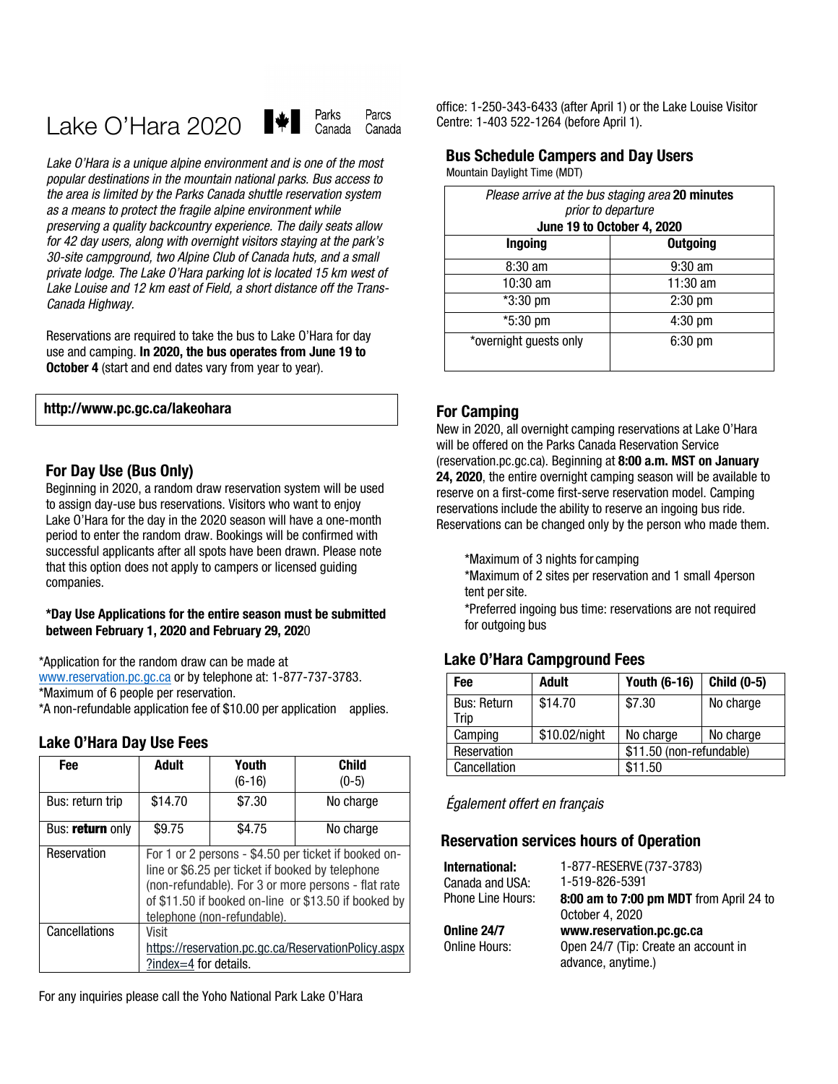#### Parks Parcs H¥H Lake O'Hara 2020 Canada Canada

*Lake O'Hara is a unique alpine environment and is one of the most popular destinations in the mountain national parks. Bus access to the area is limited by the Parks Canada shuttle reservation system as a means to protect the fragile alpine environment while preserving a quality backcountry experience. The daily seats allow for 42 day users, along with overnight visitors staying at the park's 30-site campground, two Alpine Club of Canada huts, and a small private lodge. The Lake O'Hara parking lot is located 15 km west of Lake Louise and 12 km east of Field, a short distance off the Trans-Canada Highway.*

Reservations are required to take the bus to Lake O'Hara for day use and camping. **In 2020, the bus operates from June 19 to October 4** (start and end dates vary from year to year).

#### **[http://www.pc.gc.ca/lakeohara](https://www.pc.gc.ca/en/pn-np/bc/yoho/activ/randonnee-hike/ohara)**

#### **For Day Use (Bus Only)**

Beginning in 2020, a random draw reservation system will be used to assign day-use bus reservations. Visitors who want to enjoy Lake O'Hara for the day in the 2020 season will have a one-month period to enter the random draw. Bookings will be confirmed with successful applicants after all spots have been drawn. Please note that this option does not apply to campers or licensed guiding companies.

#### **\*Day Use Applications for the entire season must be submitted between February 1, 2020 and February 29, 202**0

\*Application for the random draw can be made at

[www.reservation.pc.gc.ca](http://www.reservation.pc.gc.ca/) or by telephone at: 1-877-737-3783.

\*Maximum of 6 people per reservation.

\*A non-refundable application fee of \$10.00 per application applies.

#### **Lake O'Hara Day Use Fees**

| Fee              | <b>Adult</b>                                                                                                                                                                                                                                           | Youth<br>$(6-16)$ | Child<br>$(0-5)$                                    |  |
|------------------|--------------------------------------------------------------------------------------------------------------------------------------------------------------------------------------------------------------------------------------------------------|-------------------|-----------------------------------------------------|--|
| Bus: return trip | \$14.70                                                                                                                                                                                                                                                | \$7.30            | No charge                                           |  |
| Bus: return only | \$9.75                                                                                                                                                                                                                                                 | \$4.75            | No charge                                           |  |
| Reservation      | For 1 or 2 persons - \$4.50 per ticket if booked on-<br>line or \$6.25 per ticket if booked by telephone<br>(non-refundable). For 3 or more persons - flat rate<br>of \$11.50 if booked on-line or \$13.50 if booked by<br>telephone (non-refundable). |                   |                                                     |  |
| Cancellations    | Visit<br>?index=4 for details.                                                                                                                                                                                                                         |                   | https://reservation.pc.gc.ca/ReservationPolicy.aspx |  |

For any inquiries please call the Yoho National Park Lake O'Hara

office: 1-250-343-6433 (after April 1) or the Lake Louise Visitor Centre: 1-403 522-1264 (before April 1).

# **Bus Schedule Campers and Day Users**

Mountain Daylight Time (MDT)

| Please arrive at the bus staging area 20 minutes<br>prior to departure<br>June 19 to October 4, 2020 |                 |  |  |  |
|------------------------------------------------------------------------------------------------------|-----------------|--|--|--|
| Ingoing                                                                                              | <b>Outgoing</b> |  |  |  |
| $8:30$ am                                                                                            | $9:30$ am       |  |  |  |
| 10:30 am                                                                                             | $11:30$ am      |  |  |  |
| *3:30 pm                                                                                             | $2:30$ pm       |  |  |  |
| *5:30 pm                                                                                             | 4:30 pm         |  |  |  |
| *overnight guests only                                                                               | 6:30 pm         |  |  |  |

## **For Camping**

New in 2020, all overnight camping reservations at Lake O'Hara will be offered on the Parks Canada Reservation Service (reservation.pc.gc.ca). Beginning at **8:00 a.m. MST on January 24, 2020**, the entire overnight camping season will be available to reserve on a first-come first-serve reservation model. Camping reservations include the ability to reserve an ingoing bus ride. Reservations can be changed only by the person who made them.

\*Maximum of 3 nights for camping

\*Maximum of 2 sites per reservation and 1 small 4person tent per site.

\*Preferred ingoing bus time: reservations are not required for outgoing bus

## **Lake O'Hara Campground Fees**

| Fee                        | <b>Adult</b>  | <b>Youth (6-16)</b>      | Child (0-5) |
|----------------------------|---------------|--------------------------|-------------|
| <b>Bus: Return</b><br>Trip | \$14.70       | \$7.30                   | No charge   |
| Camping                    | \$10.02/night | No charge                | No charge   |
| Reservation                |               | \$11.50 (non-refundable) |             |
| Cancellation               |               | \$11.50                  |             |

*Également offert en français*

## **Reservation services hours of Operation**

| International:    | 1-877-RESERVE (737-3783)                |
|-------------------|-----------------------------------------|
| Canada and USA:   | 1-519-826-5391                          |
| Phone Line Hours: | 8:00 am to 7:00 pm MDT from April 24 to |
|                   | October 4, 2020                         |
| Online 24/7       | www.reservation.pc.gc.ca                |
| Online Hours:     | Open 24/7 (Tip: Create an account in    |
|                   | advance, anytime.)                      |